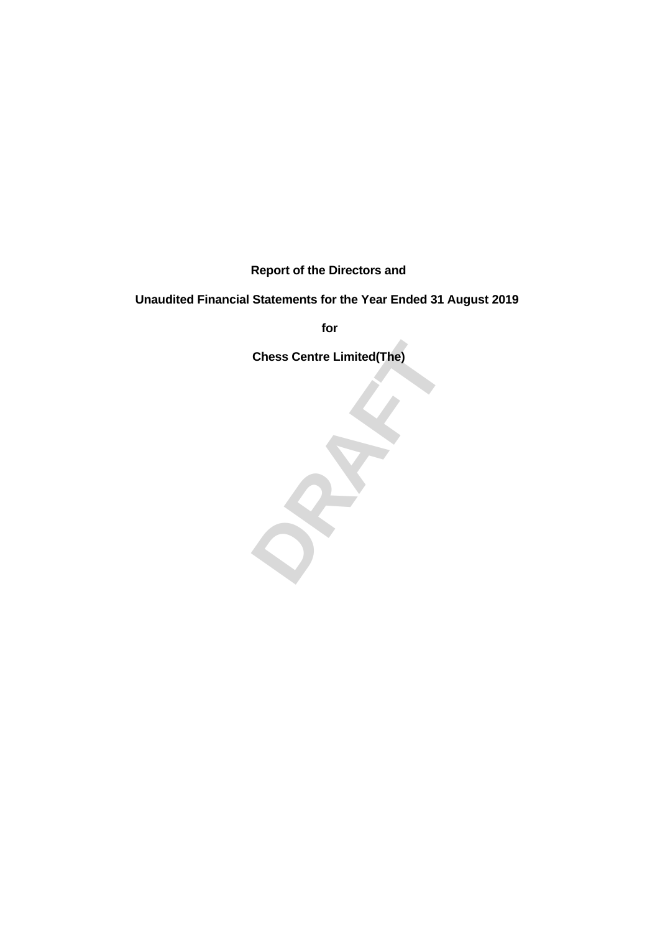**Report of the Directors and**

# **Unaudited Financial Statements for the Year Ended 31 August 2019**

**for**

**Chess Centre Limited(The)**

**Chess Centre Limited(The)**<br> **DRAFT**<br> **DRAFT**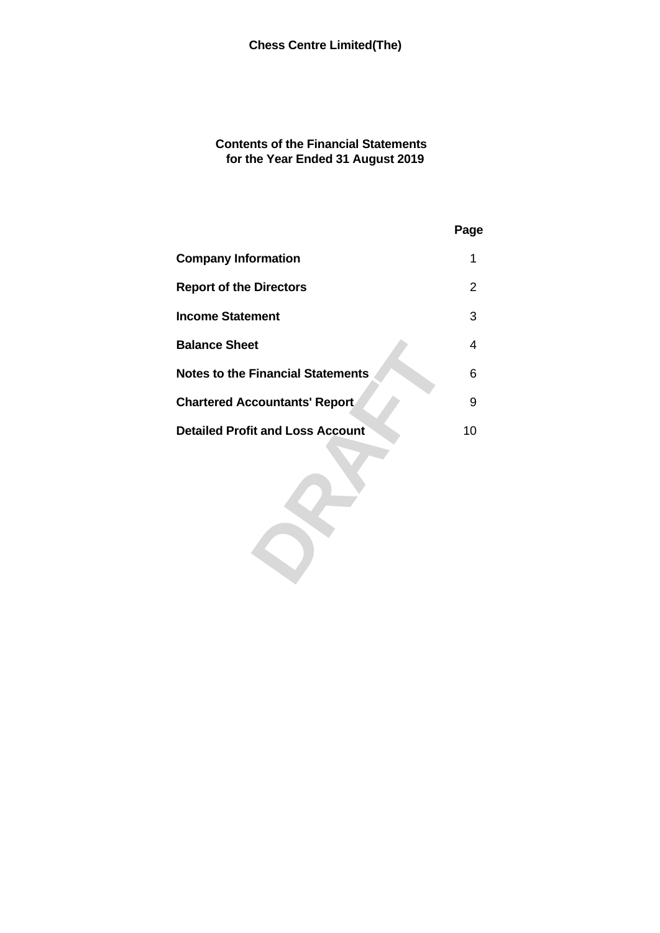## **Contents of the Financial Statements for the Year Ended 31 August 2019**

| Page |
|------|
|      |
| 2    |
| 3    |
| 4    |
| 6    |
| 9    |
| 10   |
|      |
|      |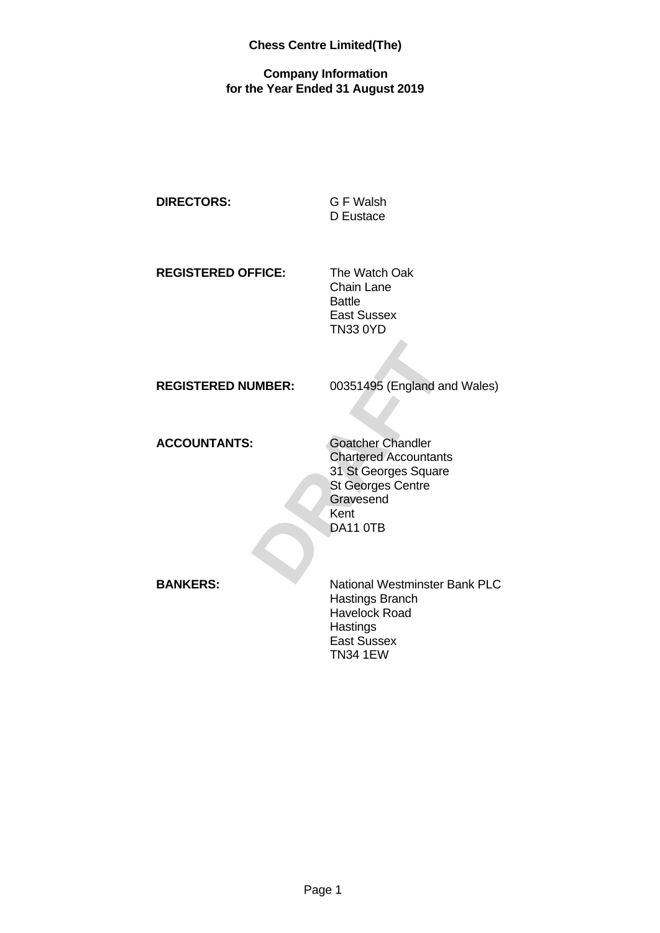## **Company Information for the Year Ended 31 August 2019**

| <b>DIRECTORS:</b> |  |
|-------------------|--|
|-------------------|--|

## **DIRECTORS:** G F Walsh D Eustace

**REGISTERED OFFICE:** The Watch Oak

Chain Lane Battle East Sussex TN33 0YD

**REGISTERED NUMBER:** 00351495 (England and Wales)

**ACCOUNTANTS:** Goatcher Chandler

**JMBER:** 00351495 (England and Wales)<br>
<br> **Coatcher Chandler**<br>
Chartered Accountants<br>
31 St Georges Square<br>
St Georges Centre<br>
Gravesend<br>
Ment<br>
DA11 0TB Chartered Accountants 31 St Georges Square St Georges Centre **Gravesend** Kent DA11 0TB

**BANKERS:** National Westminster Bank PLC Hastings Branch Havelock Road **Hastings** East Sussex TN34 1EW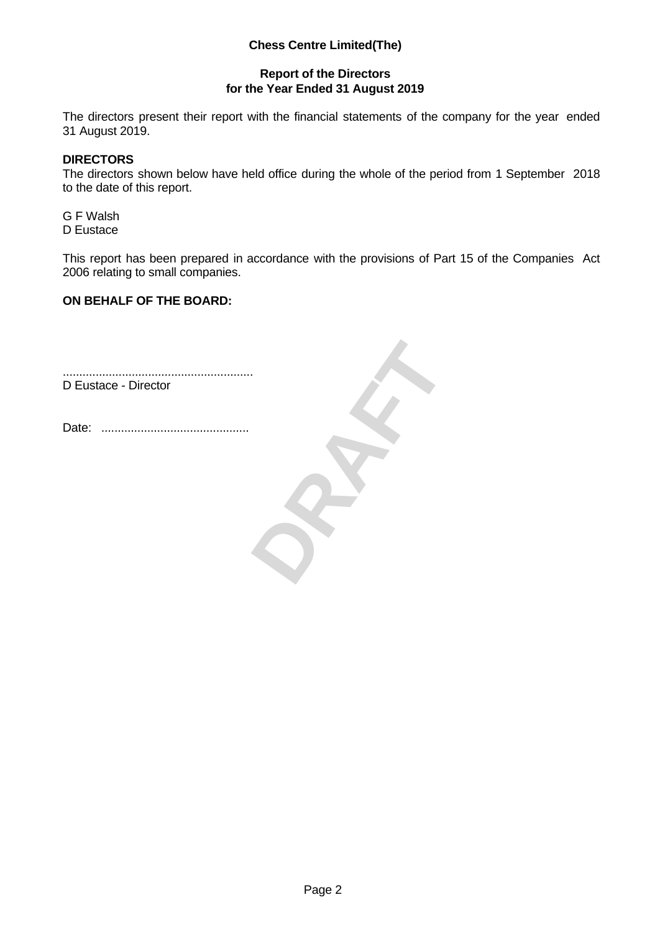## **Report of the Directors for the Year Ended 31 August 2019**

The directors present their report with the financial statements of the company for the year ended 31 August 2019.

## **DIRECTORS**

The directors shown below have held office during the whole of the period from 1 September 2018 to the date of this report.

G F Walsh D Eustace

This report has been prepared in accordance with the provisions of Part 15 of the Companies Act 2006 relating to small companies.

## **ON BEHALF OF THE BOARD:**

**DRAFT** .......................................................... D Eustace - Director Date: .............................................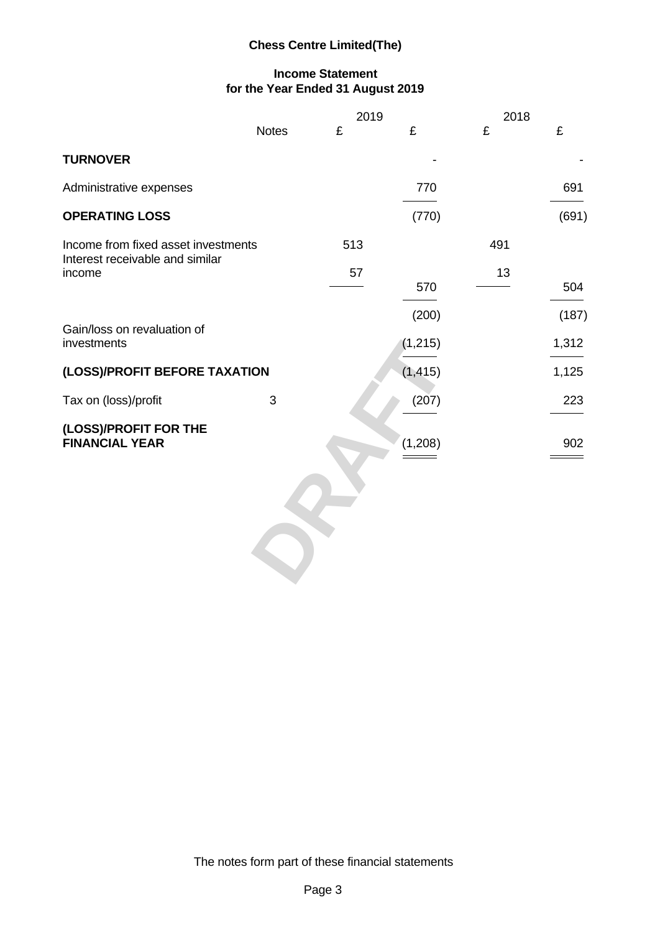## **Income Statement for the Year Ended 31 August 2019**

|                                                |              | 2019 |                   | 2018 |                                                     |
|------------------------------------------------|--------------|------|-------------------|------|-----------------------------------------------------|
|                                                | <b>Notes</b> | £    | £                 | £    | £                                                   |
| <b>TURNOVER</b>                                |              |      |                   |      |                                                     |
| Administrative expenses                        |              |      | 770               |      | 691                                                 |
| <b>OPERATING LOSS</b>                          |              |      | (770)             |      | (691)                                               |
| Income from fixed asset investments            |              | 513  |                   | 491  |                                                     |
| Interest receivable and similar<br>income      |              | 57   | 570               | 13   | 504                                                 |
| Gain/loss on revaluation of<br>investments     |              |      | (200)<br>(1, 215) |      | (187)<br>1,312<br>the control of the control of the |
| (LOSS)/PROFIT BEFORE TAXATION                  |              |      | (1, 415)          |      | 1,125                                               |
| Tax on (loss)/profit                           | $\mathbf{3}$ |      | (207)             |      | 223                                                 |
| (LOSS)/PROFIT FOR THE<br><b>FINANCIAL YEAR</b> |              |      | (1,208)           |      | 902                                                 |
|                                                |              |      |                   |      |                                                     |
|                                                |              |      |                   |      |                                                     |

The notes form part of these financial statements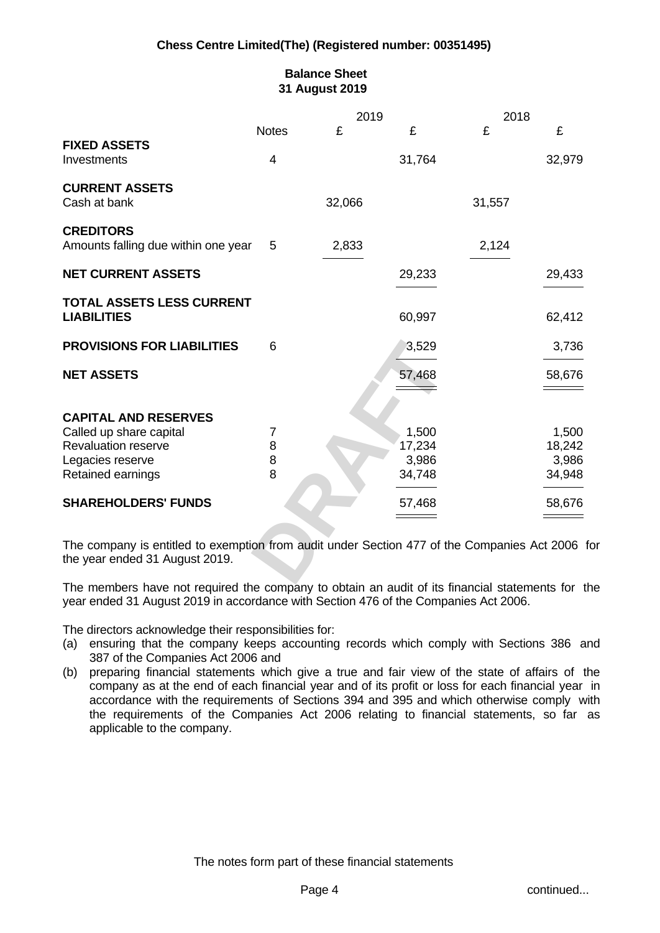## **Balance Sheet 31 August 2019**

|                                     |              | 2019   |        | 2018   |        |
|-------------------------------------|--------------|--------|--------|--------|--------|
|                                     | <b>Notes</b> | £      |        |        |        |
| <b>FIXED ASSETS</b>                 |              |        |        |        |        |
| Investments                         | 4            |        | 31,764 |        | 32,979 |
| <b>CURRENT ASSETS</b>               |              |        |        |        |        |
| Cash at bank                        |              | 32,066 |        | 31,557 |        |
| <b>CREDITORS</b>                    |              |        |        |        |        |
| Amounts falling due within one year | 5            | 2,833  |        | 2,124  |        |
|                                     |              |        |        |        |        |
| <b>NET CURRENT ASSETS</b>           |              |        | 29,233 |        | 29,433 |
| TOTAL ASSETS LESS CURRENT           |              |        |        |        |        |
| <b>LIABILITIES</b>                  |              |        | 60,997 |        | 62,412 |
|                                     |              |        |        |        |        |
| <b>PROVISIONS FOR LIABILITIES</b>   | 6            |        | 3,529  |        | 3,736  |
|                                     |              |        |        |        |        |
| <b>NET ASSETS</b>                   |              |        | 57,468 |        | 58,676 |
|                                     |              |        |        |        |        |
| <b>CAPITAL AND RESERVES</b>         |              |        |        |        |        |
| Called up share capital             |              |        | 1,500  |        | 1,500  |
| <b>Revaluation reserve</b>          |              |        | 17,234 |        | 18,242 |
| Legacies reserve                    |              |        | 3,986  |        | 3,986  |
| Retained earnings                   |              |        | 34,748 |        | 34,948 |
| <b>SHAREHOLDERS' FUNDS</b>          |              |        | 57,468 |        | 58,676 |
|                                     |              |        |        |        |        |

The members have not required the company to obtain an audit of its financial statements for the year ended 31 August 2019 in accordance with Section 476 of the Companies Act 2006.

The directors acknowledge their responsibilities for:

- (a) ensuring that the company keeps accounting records which comply with Sections 386 and 387 of the Companies Act 2006 and
- (b) preparing financial statements which give a true and fair view of the state of affairs of the company as at the end of each financial year and of its profit or loss for each financial year in accordance with the requirements of Sections 394 and 395 and which otherwise comply with the requirements of the Companies Act 2006 relating to financial statements, so far as applicable to the company.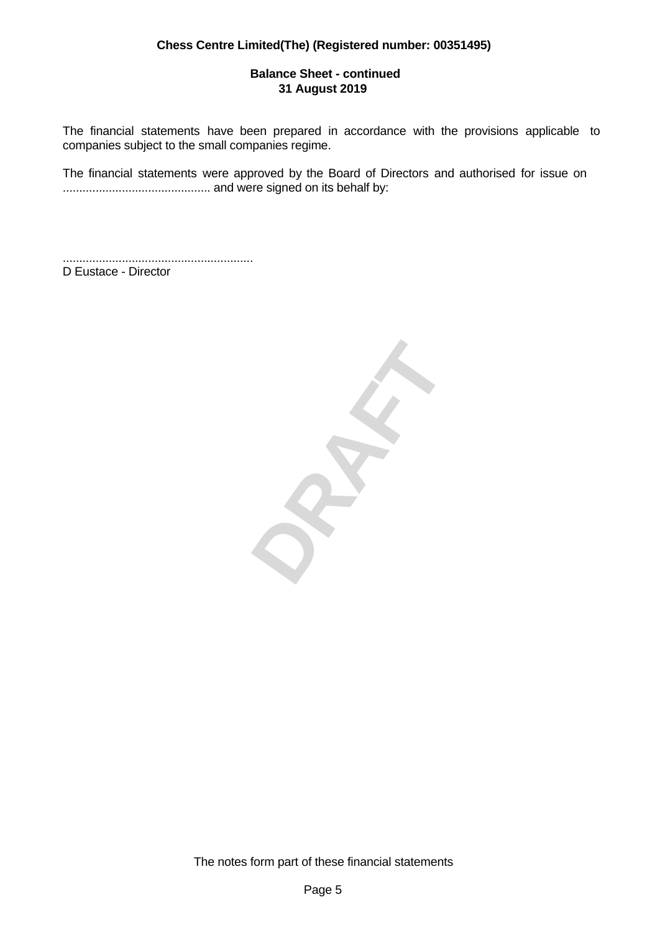## **Balance Sheet - continued 31 August 2019**

The financial statements have been prepared in accordance with the provisions applicable to companies subject to the small companies regime.

The financial statements were approved by the Board of Directors and authorised for issue on ............................................. and were signed on its behalf by:

.......................................................... D Eustace - Director

**DRAFT**

The notes form part of these financial statements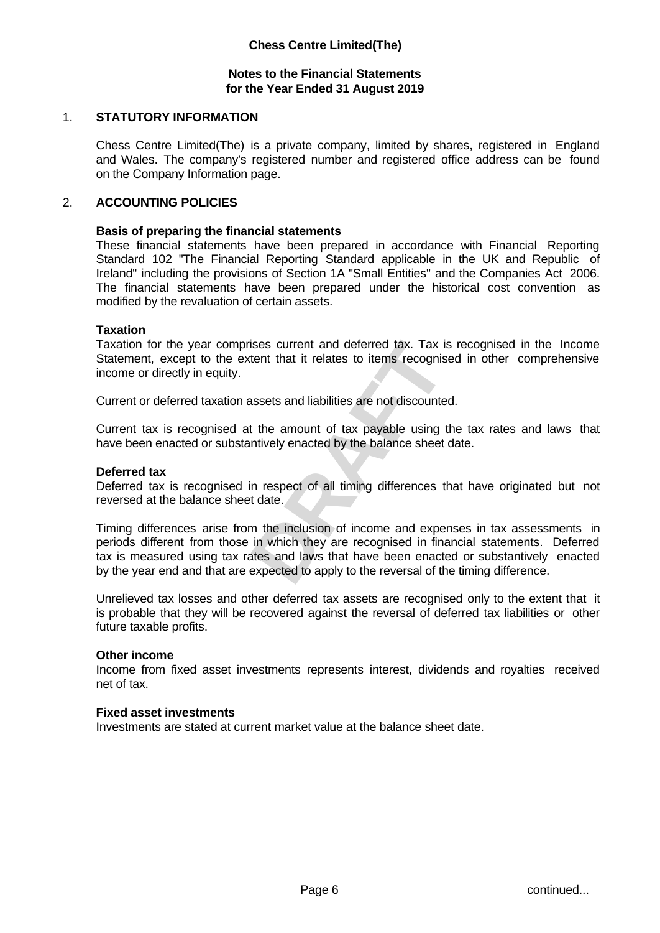## **Notes to the Financial Statements for the Year Ended 31 August 2019**

## 1. **STATUTORY INFORMATION**

Chess Centre Limited(The) is a private company, limited by shares, registered in England and Wales. The company's registered number and registered office address can be found on the Company Information page.

#### 2. **ACCOUNTING POLICIES**

#### **Basis of preparing the financial statements**

These financial statements have been prepared in accordance with Financial Reporting Standard 102 "The Financial Reporting Standard applicable in the UK and Republic of Ireland" including the provisions of Section 1A "Small Entities" and the Companies Act 2006. The financial statements have been prepared under the historical cost convention as modified by the revaluation of certain assets.

#### **Taxation**

Taxation for the year comprises current and deferred tax. Tax is recognised in the Income Statement, except to the extent that it relates to items recognised in other comprehensive income or directly in equity.

Current or deferred taxation assets and liabilities are not discounted.

Current tax is recognised at the amount of tax payable using the tax rates and laws that have been enacted or substantively enacted by the balance sheet date.

#### **Deferred tax**

Deferred tax is recognised in respect of all timing differences that have originated but not reversed at the balance sheet date.

ises current and deferred tax. Tax is recognised in the Income<br>tent that it relates to items recognised in other comprehensive<br>assets and liabilities are not discounted.<br>t the amount of tax payable using the tax rates and Timing differences arise from the inclusion of income and expenses in tax assessments in periods different from those in which they are recognised in financial statements. Deferred tax is measured using tax rates and laws that have been enacted or substantively enacted by the year end and that are expected to apply to the reversal of the timing difference.

Unrelieved tax losses and other deferred tax assets are recognised only to the extent that it is probable that they will be recovered against the reversal of deferred tax liabilities or other future taxable profits.

#### **Other income**

Income from fixed asset investments represents interest, dividends and royalties received net of tax.

#### **Fixed asset investments**

Investments are stated at current market value at the balance sheet date.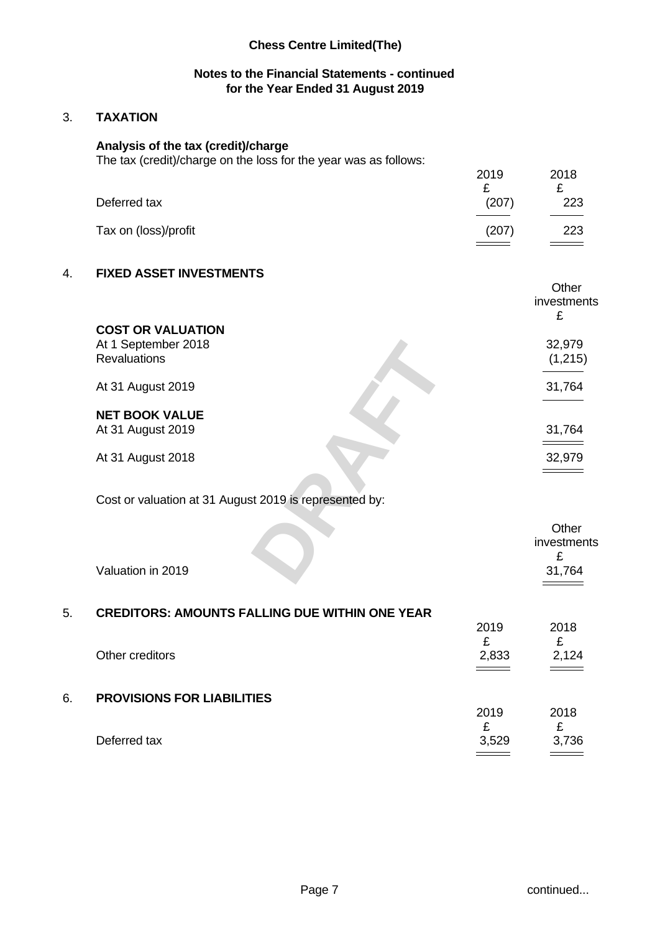## **Notes to the Financial Statements - continued for the Year Ended 31 August 2019**

## 3. **TAXATION**

## **Analysis of the tax (credit)/charge**

The tax (credit)/charge on the loss for the year was as follows:

|                      | 2019                                      | 2018 |  |
|----------------------|-------------------------------------------|------|--|
|                      |                                           | -    |  |
| Deferred tax         | (207)                                     | 223  |  |
| Tax on (loss)/profit | (207)                                     | 223  |  |
|                      | $\qquad \qquad \overline{\qquad \qquad }$ |      |  |

## 4. **FIXED ASSET INVESTMENTS**

|                                                        | Other       |
|--------------------------------------------------------|-------------|
|                                                        | investments |
|                                                        |             |
| <b>COST OR VALUATION</b>                               |             |
| At 1 September 2018                                    | 32,979      |
| Revaluations                                           | (1,215)     |
|                                                        |             |
| At 31 August 2019                                      | 31,764      |
|                                                        |             |
| <b>NET BOOK VALUE</b>                                  |             |
| At 31 August 2019                                      | 31,764      |
|                                                        | _______     |
| At 31 August 2018                                      | 32,979      |
|                                                        |             |
|                                                        |             |
| Cost or valuation at 31 August 2019 is represented by: |             |
|                                                        |             |
|                                                        | Other       |
|                                                        | investments |
|                                                        |             |
| Valuation in 2019                                      | 31,764      |
|                                                        |             |

## Cost or valuation at 31 August 2019 is represented by:

|    |                                                       |            | Other<br>investments<br>£ |
|----|-------------------------------------------------------|------------|---------------------------|
|    | Valuation in 2019                                     |            | 31,764                    |
| 5. | <b>CREDITORS: AMOUNTS FALLING DUE WITHIN ONE YEAR</b> | 2019<br>£  | 2018<br>£                 |
|    | Other creditors                                       | 2,833      | 2,124                     |
| 6. | <b>PROVISIONS FOR LIABILITIES</b>                     | 2019       | 2018<br>£                 |
|    | Deferred tax                                          | £<br>3,529 | 3,736                     |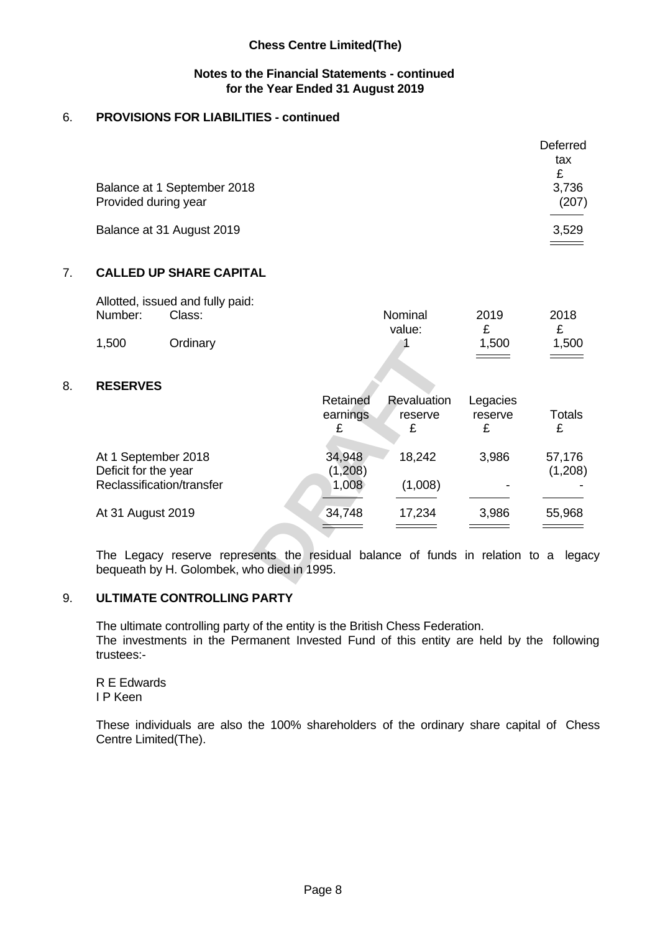## **Notes to the Financial Statements - continued for the Year Ended 31 August 2019**

## 6. **PROVISIONS FOR LIABILITIES - continued**

| Balance at 1 September 2018<br>Provided during year | Deferred<br>tax<br>£<br>3,736<br>(207)                    |
|-----------------------------------------------------|-----------------------------------------------------------|
| Balance at 31 August 2019                           | 3,529<br>$\sim$ $\sim$ $\sim$ $\sim$ $\sim$ $\sim$ $\sim$ |

## 7. **CALLED UP SHARE CAPITAL**

|         | Allotted, issued and fully paid: |         |       |                    |  |
|---------|----------------------------------|---------|-------|--------------------|--|
| Number: | Class:                           | Nominal | 2019  | 2018               |  |
|         |                                  | value:  |       |                    |  |
| 1,500   | <b>Ordinary</b>                  |         | 1,500 | .500               |  |
|         |                                  |         |       | $\hspace{1.5cm} =$ |  |

## 8. **RESERVES**

| 1,500                                                                    | Ordinary                                                                                                                          |                            |                        | 1,500                             | 1,500<br>====                                 |
|--------------------------------------------------------------------------|-----------------------------------------------------------------------------------------------------------------------------------|----------------------------|------------------------|-----------------------------------|-----------------------------------------------|
| <b>RESERVES</b>                                                          |                                                                                                                                   |                            |                        |                                   |                                               |
|                                                                          |                                                                                                                                   | Retained<br>earnings       | Revaluation<br>reserve | Legacies<br>reserve               | Totals                                        |
| At 1 September 2018<br>Deficit for the year<br>Reclassification/transfer |                                                                                                                                   | 34,948<br>(1,208)<br>1,008 | 18,242<br>(1,008)      | 3,986<br>$\overline{\phantom{a}}$ | 57,176<br>(1,208)<br>$\overline{\phantom{0}}$ |
| At 31 August 2019                                                        |                                                                                                                                   | 34,748                     | 17,234                 | 3,986                             | 55,968                                        |
|                                                                          | The Legacy reserve represents the residual balance of funds in relation to a legacy<br>bequeath by H. Golombek, who died in 1995. |                            |                        |                                   |                                               |

## 9. **ULTIMATE CONTROLLING PARTY**

The ultimate controlling party of the entity is the British Chess Federation. The investments in the Permanent Invested Fund of this entity are held by the following trustees:-

R E Edwards I P Keen

These individuals are also the 100% shareholders of the ordinary share capital of Chess Centre Limited(The).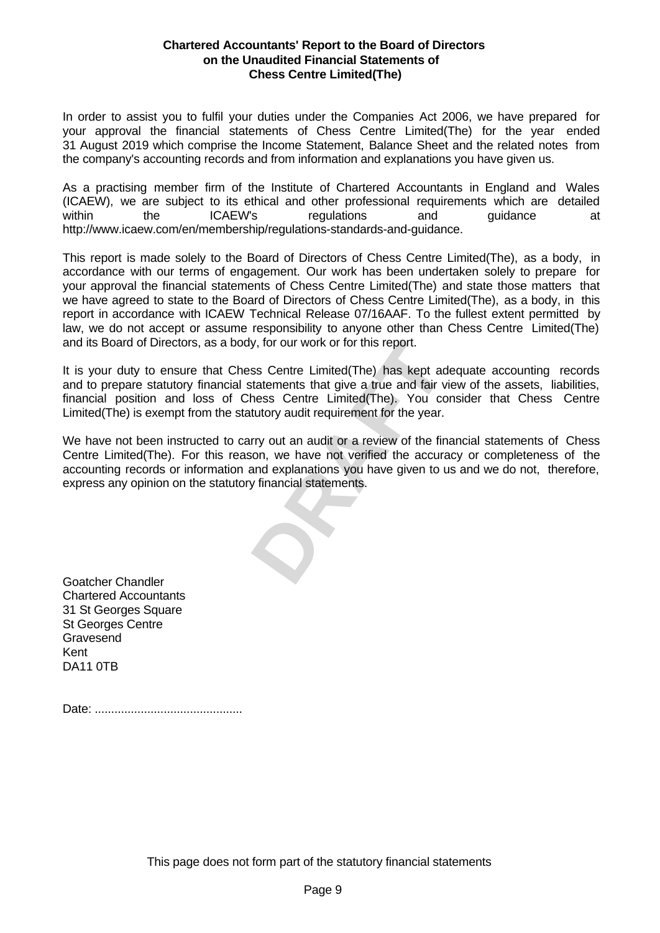#### **Chartered Accountants' Report to the Board of Directors on the Unaudited Financial Statements of Chess Centre Limited(The)**

In order to assist you to fulfil your duties under the Companies Act 2006, we have prepared for your approval the financial statements of Chess Centre Limited(The) for the year ended 31 August 2019 which comprise the Income Statement, Balance Sheet and the related notes from the company's accounting records and from information and explanations you have given us.

As a practising member firm of the Institute of Chartered Accountants in England and Wales (ICAEW), we are subject to its ethical and other professional requirements which are detailed within the ICAEW's regulations and guidance at http://www.icaew.com/en/membership/regulations-standards-and-guidance.

This report is made solely to the Board of Directors of Chess Centre Limited(The), as a body, in accordance with our terms of engagement. Our work has been undertaken solely to prepare for your approval the financial statements of Chess Centre Limited(The) and state those matters that we have agreed to state to the Board of Directors of Chess Centre Limited(The), as a body, in this report in accordance with ICAEW Technical Release 07/16AAF. To the fullest extent permitted by law, we do not accept or assume responsibility to anyone other than Chess Centre Limited(The) and its Board of Directors, as a body, for our work or for this report.

y, for our work or for this report.<br>ss Centre Limited(The) has kept adequate accounting records<br>statements that give a true and fair view of the assets, liabilities,<br>hess Centre Limited(The). You consider that Chess Centre It is your duty to ensure that Chess Centre Limited(The) has kept adequate accounting records and to prepare statutory financial statements that give a true and fair view of the assets, liabilities, financial position and loss of Chess Centre Limited(The). You consider that Chess Centre Limited(The) is exempt from the statutory audit requirement for the year.

We have not been instructed to carry out an audit or a review of the financial statements of Chess Centre Limited(The). For this reason, we have not verified the accuracy or completeness of the accounting records or information and explanations you have given to us and we do not, therefore, express any opinion on the statutory financial statements.

Goatcher Chandler Chartered Accountants 31 St Georges Square St Georges Centre Gravesend Kent DA11 0TB

Date: .............................................